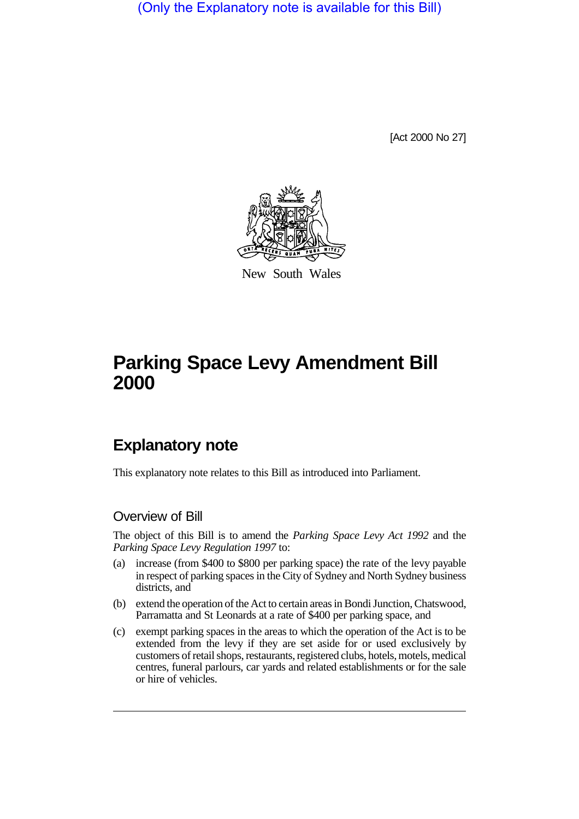(Only the Explanatory note is available for this Bill)

[Act 2000 No 27]



New South Wales

## **Parking Space Levy Amendment Bill 2000**

## **Explanatory note**

This explanatory note relates to this Bill as introduced into Parliament.

## Overview of Bill

The object of this Bill is to amend the *Parking Space Levy Act 1992* and the *Parking Space Levy Regulation 1997* to:

- (a) increase (from \$400 to \$800 per parking space) the rate of the levy payable in respect of parking spaces in the City of Sydney and North Sydney business districts, and
- (b) extend the operation of the Act to certain areas in Bondi Junction, Chatswood, Parramatta and St Leonards at a rate of \$400 per parking space, and
- (c) exempt parking spaces in the areas to which the operation of the Act is to be extended from the levy if they are set aside for or used exclusively by customers of retail shops, restaurants, registered clubs, hotels, motels, medical centres, funeral parlours, car yards and related establishments or for the sale or hire of vehicles.